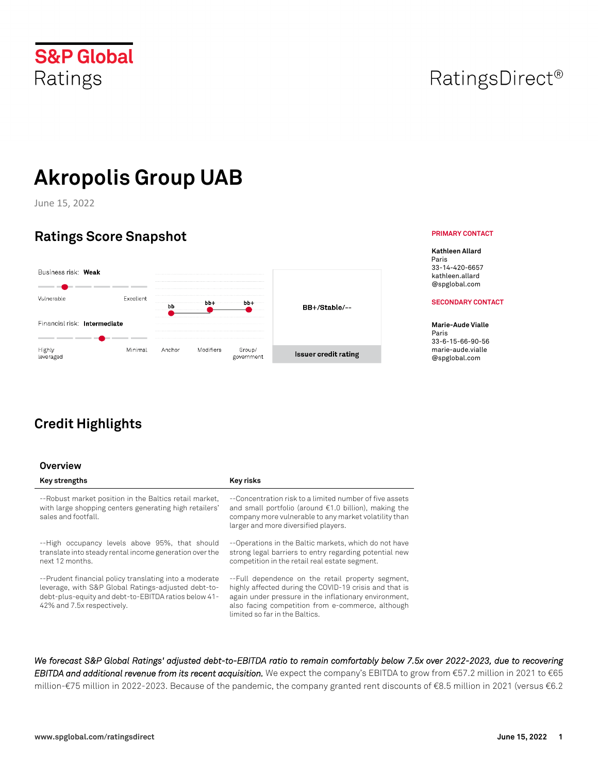

# RatingsDirect<sup>®</sup>

**PRIMARY CONTACT**

# **Akropolis Group UAB**

June 15, 2022

# **Ratings Score Snapshot**



# **Credit Highlights**

#### **Overview**

| Key strengths                                                                                                                                                                                       | Key risks                                                                                                                                                                                                                                                   |
|-----------------------------------------------------------------------------------------------------------------------------------------------------------------------------------------------------|-------------------------------------------------------------------------------------------------------------------------------------------------------------------------------------------------------------------------------------------------------------|
| --Robust market position in the Baltics retail market,<br>with large shopping centers generating high retailers'<br>sales and footfall.                                                             | --Concentration risk to a limited number of five assets<br>and small portfolio (around €1.0 billion), making the<br>company more vulnerable to any market volatility than<br>larger and more diversified players.                                           |
| --High occupancy levels above 95%, that should<br>translate into steady rental income generation over the<br>next 12 months.                                                                        | --Operations in the Baltic markets, which do not have<br>strong legal barriers to entry regarding potential new<br>competition in the retail real estate segment.                                                                                           |
| --Prudent financial policy translating into a moderate<br>leverage, with S&P Global Ratings-adjusted debt-to-<br>debt-plus-equity and debt-to-EBITDA ratios below 41-<br>42% and 7.5x respectively. | --Full dependence on the retail property segment,<br>highly affected during the COVID-19 crisis and that is<br>again under pressure in the inflationary environment,<br>also facing competition from e-commerce, although<br>limited so far in the Baltics. |

*We forecast S&P Global Ratings' adjusted debt-to-EBITDA ratio to remain comfortably below 7.5x over 2022-2023, due to recovering EBITDA and additional revenue from its recent acquisition.* We expect the company's EBITDA to grow from €57.2 million in 2021 to €65 million-€75 million in 2022-2023. Because of the pandemic, the company granted rent discounts of €8.5 million in 2021 (versus €6.2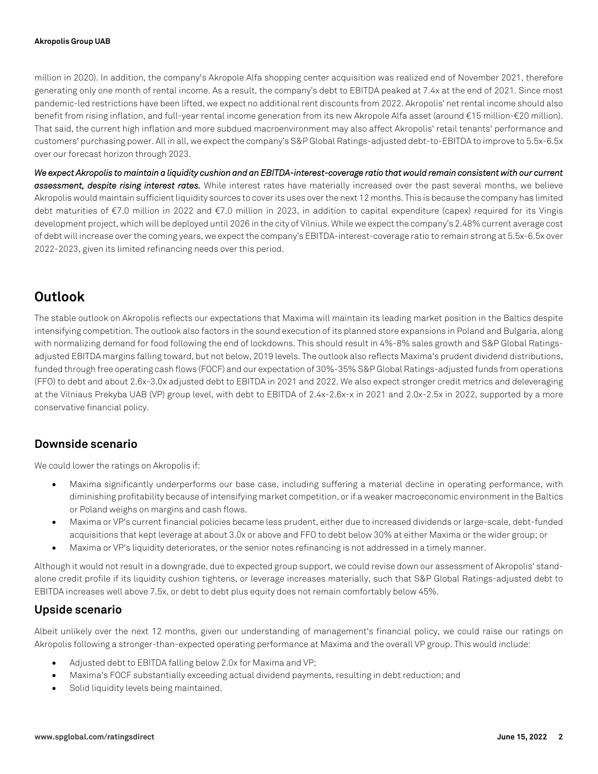#### **Akropolis Group UAB**

million in 2020). In addition, the company's Akropole Alfa shopping center acquisition was realized end of November 2021, therefore generating only one month of rental income. As a result, the company's debt to EBITDA peaked at 7.4x at the end of 2021. Since most pandemic-led restrictions have been lifted, we expect no additional rent discounts from 2022.Akropolis' net rental income should also benefit from rising inflation, and full-year rental income generation from its new Akropole Alfa asset (around €15 million-€20 million). That said, the current high inflation and more subdued macroenvironment may also affect Akropolis' retail tenants' performance and customers' purchasing power. All in all, we expect the company's S&P Global Ratings-adjusted debt-to-EBITDA to improve to 5.5x-6.5x over our forecast horizon through 2023.

*We expect Akropolis to maintain a liquidity cushion and an EBITDA-interest-coverage ratio that would remain consistent with our current*  **assessment, despite rising interest rates.** While interest rates have materially increased over the past several months, we believe Akropolis would maintain sufficient liquidity sources to cover its uses over the next 12 months. This is because the company has limited debt maturities of €7.0 million in 2022 and €7.0 million in 2023, in addition to capital expenditure (capex) required for its Vingis development project, which will be deployed until 2026 in the city of Vilnius. While we expect the company's 2.48% current average cost of debt will increase over the coming years, we expect the company's EBITDA-interest-coverage ratio to remain strong at 5.5x-6.5x over 2022-2023, given its limited refinancing needs over this period.

# **Outlook**

The stable outlook on Akropolis reflects our expectations that Maxima will maintain its leading market position in the Baltics despite intensifying competition. The outlook also factors in the sound execution of its planned store expansions in Poland and Bulgaria, along with normalizing demand for food following the end of lockdowns. This should result in 4%-8% sales growth and S&P Global Ratingsadjusted EBITDA margins falling toward, but not below, 2019 levels. The outlook also reflects Maxima's prudent dividend distributions, funded through free operating cash flows (FOCF) and our expectation of 30%-35% S&P Global Ratings-adjusted funds from operations (FFO) to debt and about 2.6x-3.0x adjusted debt to EBITDA in 2021 and 2022. We also expect stronger credit metrics and deleveraging at the Vilniaus Prekyba UAB (VP) group level, with debt to EBITDA of 2.4x-2.6x-x in 2021 and 2.0x-2.5x in 2022, supported by a more conservative financial policy.

### **Downside scenario**

We could lower the ratings on Akropolis if:

- Maxima significantly underperforms our base case, including suffering a material decline in operating performance, with diminishing profitability because of intensifying market competition, or if a weaker macroeconomic environment in the Baltics or Poland weighs on margins and cash flows.
- Maxima or VP's current financial policies became less prudent, either due to increased dividends or large-scale, debt-funded acquisitions that kept leverage at about 3.0x or above and FFO to debt below 30% at either Maxima or the wider group; or
- Maxima or VP's liquidity deteriorates, or the senior notes refinancing is not addressed in a timely manner.

Although it would not result in a downgrade, due to expected group support, we could revise down our assessment of Akropolis' standalone credit profile if its liquidity cushion tightens, or leverage increases materially, such that S&P Global Ratings-adjusted debt to EBITDA increases well above 7.5x, or debt to debt plus equity does not remain comfortably below 45%.

### **Upside scenario**

Albeit unlikely over the next 12 months, given our understanding of management's financial policy, we could raise our ratings on Akropolis following a stronger-than-expected operating performance at Maxima and the overall VP group. This would include:

- Adjusted debt to EBITDA falling below 2.0x for Maxima and VP;
- Maxima's FOCF substantially exceeding actual dividend payments, resulting in debt reduction; and
- Solid liquidity levels being maintained.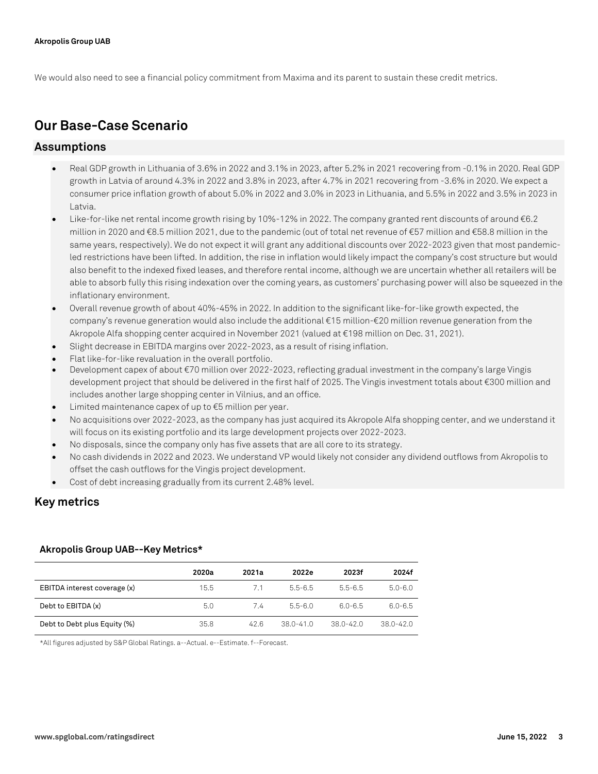We would also need to see a financial policy commitment from Maxima and its parent to sustain these credit metrics.

# **Our Base-Case Scenario**

#### **Assumptions**

- Real GDP growth in Lithuania of 3.6% in 2022 and 3.1% in 2023, after 5.2% in 2021 recovering from -0.1% in 2020. Real GDP growth in Latvia of around 4.3% in 2022 and 3.8% in 2023, after 4.7% in 2021 recovering from -3.6% in 2020. We expect a consumer price inflation growth of about 5.0% in 2022 and 3.0% in 2023 in Lithuania, and 5.5% in 2022 and 3.5% in 2023 in Latvia.
- Like-for-like net rental income growth rising by 10%-12% in 2022. The company granted rent discounts of around €6.2 million in 2020 and €8.5 million 2021, due to the pandemic (out of total net revenue of €57 million and €58.8 million in the same years, respectively). We do not expect it will grant any additional discounts over 2022-2023 given that most pandemicled restrictions have been lifted. In addition, the rise in inflation would likely impact the company's cost structure but would also benefit to the indexed fixed leases, and therefore rental income, although we are uncertain whether all retailers will be able to absorb fully this rising indexation over the coming years, as customers' purchasing power will also be squeezed in the inflationary environment.
- Overall revenue growth of about 40%-45% in 2022. In addition to the significant like-for-like growth expected, the company's revenue generation would also include the additional €15 million-€20 million revenue generation from the Akropole Alfa shopping center acquired in November 2021 (valued at €198 million on Dec. 31, 2021).
- Slight decrease in EBITDA margins over 2022-2023, as a result of rising inflation.
- Flat like-for-like revaluation in the overall portfolio.
- Development capex of about €70 million over 2022-2023, reflecting gradual investment in the company's large Vingis development project that should be delivered in the first half of 2025. The Vingis investment totals about €300 million and includes another large shopping center in Vilnius, and an office.
- Limited maintenance capex of up to  $€5$  million per year.
- No acquisitions over 2022-2023, as the company has just acquired its Akropole Alfa shopping center, and we understand it will focus on its existing portfolio and its large development projects over 2022-2023.
- No disposals, since the company only has five assets that are all core to its strategy.
- No cash dividends in 2022 and 2023. We understand VP would likely not consider any dividend outflows from Akropolis to offset the cash outflows for the Vingis project development.
- Cost of debt increasing gradually from its current 2.48% level.

#### **Key metrics**

#### **Akropolis Group UAB--Key Metrics\***

|                              | 2020a | 2021a | 2022e         | 2023f         | 2024f         |
|------------------------------|-------|-------|---------------|---------------|---------------|
| EBITDA interest coverage (x) | 15.5  | 7.1   | $5.5 - 6.5$   | $5.5 - 6.5$   | $5.0 - 6.0$   |
| Debt to EBITDA (x)           | 5.0   | 7.4   | $5.5 - 6.0$   | $6.0 - 6.5$   | $6.0 - 6.5$   |
| Debt to Debt plus Equity (%) | 35.8  | 42.6  | $38.0 - 41.0$ | $38.0 - 42.0$ | $38.0 - 42.0$ |

\*All figures adjusted by S&P Global Ratings. a--Actual. e--Estimate. f--Forecast.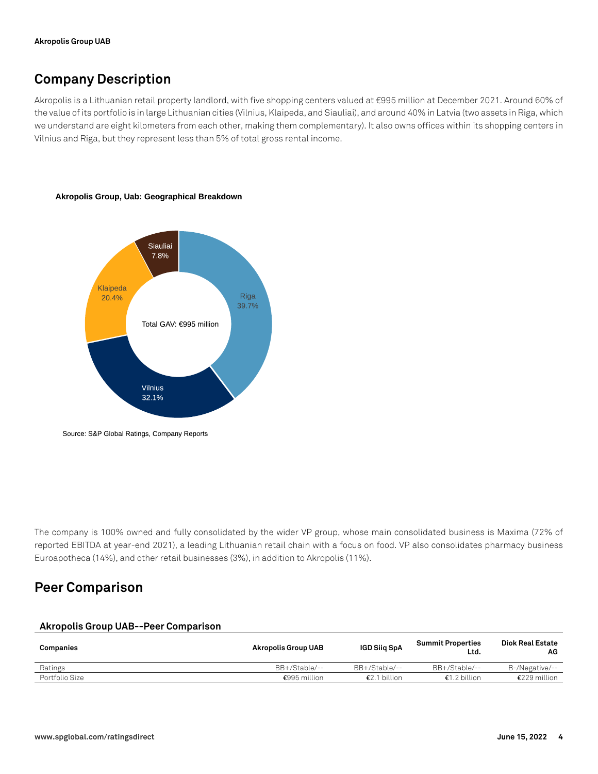# **Company Description**

Akropolis is a Lithuanian retail property landlord, with five shopping centers valued at €995 million at December 2021. Around 60% of the value of its portfolio is in large Lithuanian cities (Vilnius, Klaipeda, and Siauliai), and around 40% in Latvia (two assets in Riga, which we understand are eight kilometers from each other, making them complementary). It also owns offices within its shopping centers in Vilnius and Riga, but they represent less than 5% of total gross rental income.



#### Akropolis Group, Uab: Geographical Breakdown

The company is 100% owned and fully consolidated by the wider VP group, whose main consolidated business is Maxima (72% of reported EBITDA at year-end 2021), a leading Lithuanian retail chain with a focus on food. VP also consolidates pharmacy business Euroapotheca (14%), and other retail businesses (3%), in addition to Akropolis (11%).

# **Peer Comparison**

#### **Akropolis Group UAB--Peer Comparison**

| Companies      | Akropolis Group UAB | IGD Siig SpA  | <b>Summit Properties</b><br>Ltd. | Diok Real Estate<br>AG |
|----------------|---------------------|---------------|----------------------------------|------------------------|
| Ratings        | BB+/Stable/--       | BB+/Stable/-- | BB+/Stable/--                    | B-/Negative/--         |
| Portfolio Size | €995 million        | €2.1 billion  | €1.2 billion                     | €229 million           |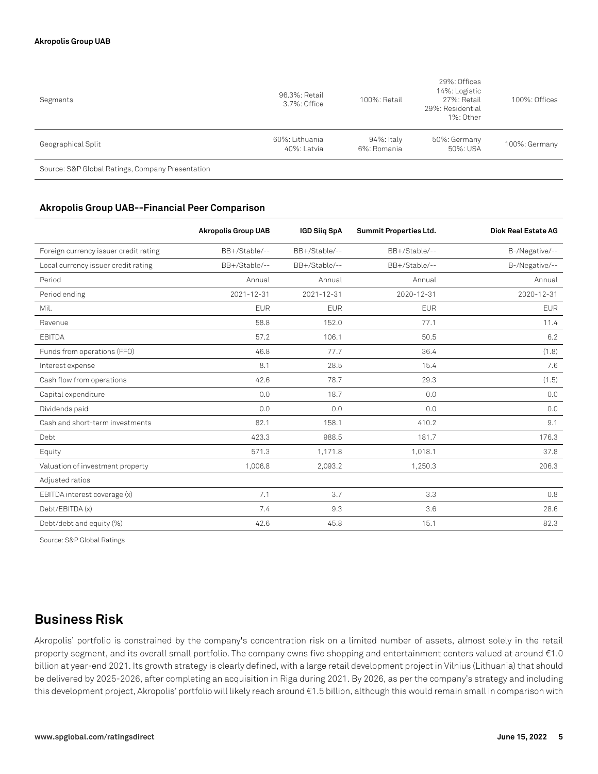#### **Akropolis Group UAB**

| 29%: Offices<br>14%: Logistic<br>27%: Retail<br>29%: Residential<br>1%: Other | 100%: Offices |
|-------------------------------------------------------------------------------|---------------|
| 50%: Germany<br>50%: USA                                                      | 100%: Germany |
|                                                                               |               |

Source: S&P Global Ratings, Company Presentation

#### **Akropolis Group UAB--Financial Peer Comparison**

|                                       | <b>Akropolis Group UAB</b> | <b>IGD Siig SpA</b> | Summit Properties Ltd. | <b>Diok Real Estate AG</b> |
|---------------------------------------|----------------------------|---------------------|------------------------|----------------------------|
| Foreign currency issuer credit rating | BB+/Stable/--              | BB+/Stable/--       | BB+/Stable/--          | B-/Negative/--             |
| Local currency issuer credit rating   | BB+/Stable/--              | BB+/Stable/--       | BB+/Stable/--          | B-/Negative/--             |
| Period                                | Annual                     | Annual              | Annual                 | Annual                     |
| Period ending                         | $2021 - 12 - 31$           | $2021 - 12 - 31$    | 2020-12-31             | 2020-12-31                 |
| Mil.                                  | <b>EUR</b>                 | <b>EUR</b>          | <b>EUR</b>             | <b>EUR</b>                 |
| Revenue                               | 58.8                       | 152.0               | 77.1                   | 11.4                       |
| <b>EBITDA</b>                         | 57.2                       | 106.1               | 50.5                   | 6.2                        |
| Funds from operations (FFO)           | 46.8                       | 77.7                | 36.4                   | (1.8)                      |
| Interest expense                      | 8.1                        | 28.5                | 15.4                   | 7.6                        |
| Cash flow from operations             | 42.6                       | 78.7                | 29.3                   | (1.5)                      |
| Capital expenditure                   | 0.0                        | 18.7                | 0.0                    | 0.0                        |
| Dividends paid                        | 0.0                        | 0.0                 | 0.0                    | 0.0                        |
| Cash and short-term investments       | 82.1                       | 158.1               | 410.2                  | 9.1                        |
| Debt                                  | 423.3                      | 988.5               | 181.7                  | 176.3                      |
| Equity                                | 571.3                      | 1,171.8             | 1,018.1                | 37.8                       |
| Valuation of investment property      | 1,006.8                    | 2,093.2             | 1,250.3                | 206.3                      |
| Adjusted ratios                       |                            |                     |                        |                            |
| EBITDA interest coverage (x)          | 7.1                        | 3.7                 | 3.3                    | 0.8                        |
| Debt/EBITDA (x)                       | 7.4                        | 9.3                 | 3.6                    | 28.6                       |
| Debt/debt and equity (%)              | 42.6                       | 45.8                | 15.1                   | 82.3                       |

Source: S&P Global Ratings

# **Business Risk**

Akropolis' portfolio is constrained by the company's concentration risk on a limited number of assets, almost solely in the retail property segment, and its overall small portfolio. The company owns five shopping and entertainment centers valued at around €1.0 billion at year-end 2021. Its growth strategy is clearly defined, with a large retail development project in Vilnius (Lithuania) that should be delivered by 2025-2026, after completing an acquisition in Riga during 2021. By 2026, as per the company's strategy and including this development project, Akropolis' portfolio will likely reach around €1.5 billion, although this would remain small in comparison with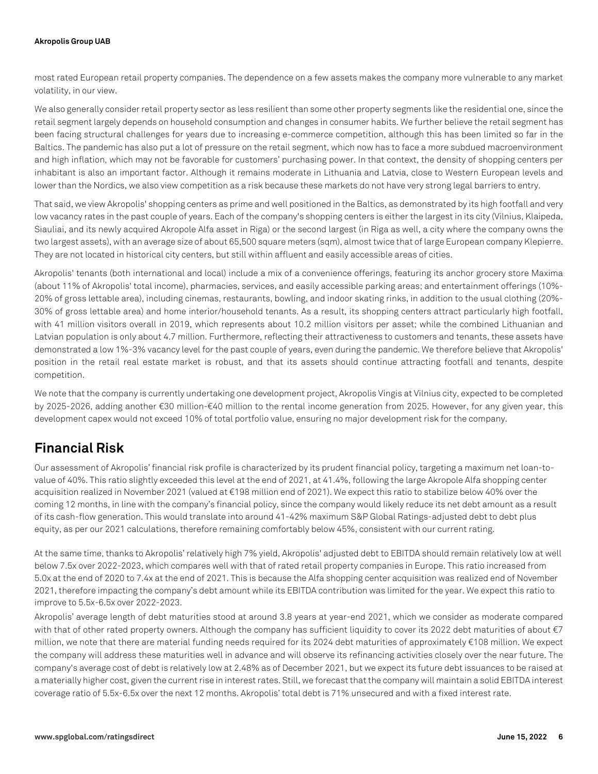#### **Akropolis Group UAB**

most rated European retail property companies. The dependence on a few assets makes the company more vulnerable to any market volatility, in our view.

We also generally consider retail property sector as less resilient than some other property segments like the residential one, since the retail segment largely depends on household consumption and changes in consumer habits. We further believe the retail segment has been facing structural challenges for years due to increasing e-commerce competition, although this has been limited so far in the Baltics. The pandemic has also put a lot of pressure on the retail segment, which now has to face a more subdued macroenvironment and high inflation, which may not be favorable for customers' purchasing power. In that context, the density of shopping centers per inhabitant is also an important factor. Although it remains moderate in Lithuania and Latvia, close to Western European levels and lower than the Nordics, we also view competition as a risk because these markets do not have very strong legal barriers to entry.

That said, we view Akropolis' shopping centers as prime and well positioned in the Baltics, as demonstrated by its high footfall and very low vacancy rates in the past couple of years. Each of the company's shopping centers is either the largest in its city (Vilnius, Klaipeda, Siauliai, and its newly acquired Akropole Alfa asset in Riga) or the second largest (in Riga as well, a city where the company owns the two largest assets), with an average size of about 65,500 square meters (sqm), almost twice that of large European company Klepierre. They are not located in historical city centers, but still within affluent and easily accessible areas of cities.

Akropolis' tenants (both international and local) include a mix of a convenience offerings, featuring its anchor grocery store Maxima (about 11% of Akropolis' total income), pharmacies, services, and easily accessible parking areas; and entertainment offerings (10%- 20% of gross lettable area), including cinemas, restaurants, bowling, and indoor skating rinks, in addition to the usual clothing (20%- 30% of gross lettable area) and home interior/household tenants. As a result, its shopping centers attract particularly high footfall, with 41 million visitors overall in 2019, which represents about 10.2 million visitors per asset; while the combined Lithuanian and Latvian population is only about 4.7 million. Furthermore, reflecting their attractiveness to customers and tenants, these assets have demonstrated a low 1%-3% vacancy level for the past couple of years, even during the pandemic. We therefore believe that Akropolis' position in the retail real estate market is robust, and that its assets should continue attracting footfall and tenants, despite competition.

We note that the company is currently undertaking one development project, Akropolis Vingis at Vilnius city, expected to be completed by 2025-2026, adding another €30 million-€40 million to the rental income generation from 2025. However, for any given year, this development capex would not exceed 10% of total portfolio value, ensuring no major development risk for the company.

# **Financial Risk**

Our assessment of Akropolis' financial risk profile is characterized by its prudent financial policy, targeting a maximum net loan-tovalue of 40%. This ratio slightly exceeded this level at the end of 2021, at 41.4%, following the large Akropole Alfa shopping center acquisition realized in November 2021 (valued at €198 million end of 2021). We expect this ratio to stabilize below 40% over the coming 12 months, in line with the company's financial policy, since the company would likely reduce its net debt amount as a result of its cash-flow generation. This would translate into around 41-42% maximum S&P Global Ratings-adjusted debt to debt plus equity, as per our 2021 calculations, therefore remaining comfortably below 45%, consistent with our current rating.

At the same time, thanks to Akropolis' relatively high 7% yield, Akropolis' adjusted debt to EBITDA should remain relatively low at well below 7.5x over 2022-2023, which compares well with that of rated retail property companies in Europe. This ratio increased from 5.0x at the end of 2020 to 7.4x at the end of 2021. This is because the Alfa shopping center acquisition was realized end of November 2021, therefore impacting the company's debt amount while its EBITDA contribution was limited for the year. We expect this ratio to improve to 5.5x-6.5x over 2022-2023.

Akropolis' average length of debt maturities stood at around 3.8 years at year-end 2021, which we consider as moderate compared with that of other rated property owners. Although the company has sufficient liquidity to cover its 2022 debt maturities of about €7 million, we note that there are material funding needs required for its 2024 debt maturities of approximately €108 million. We expect the company will address these maturities well in advance and will observe its refinancing activities closely over the near future. The company's average cost of debt is relatively low at 2.48% as of December 2021, but we expect its future debt issuances to be raised at a materially higher cost, given the current rise in interest rates. Still, we forecast that the company will maintain a solid EBITDA interest coverage ratio of 5.5x-6.5x over the next 12 months. Akropolis' total debt is 71% unsecured and with a fixed interest rate.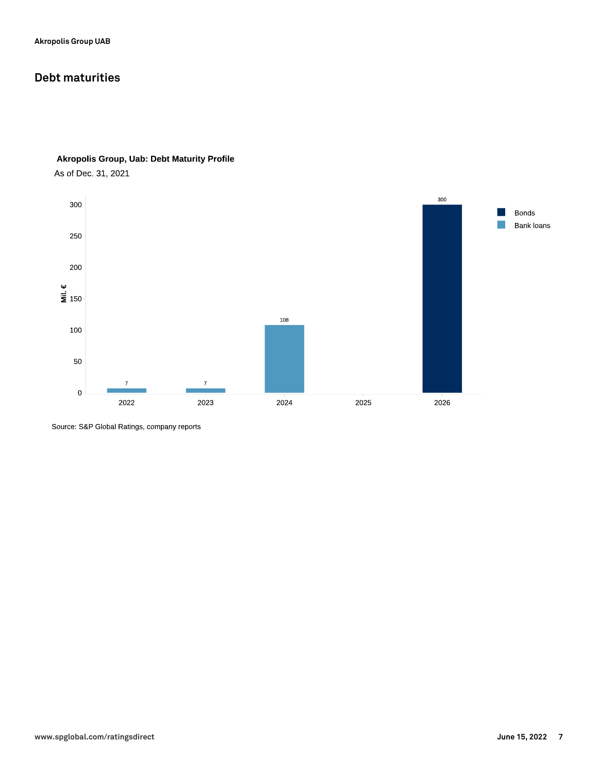# **Debt maturities**

#### **Akropolis Group, Uab: Debt Maturity Profile**

As of Dec. 31, 2021



Source: S&P Global Ratings, company reports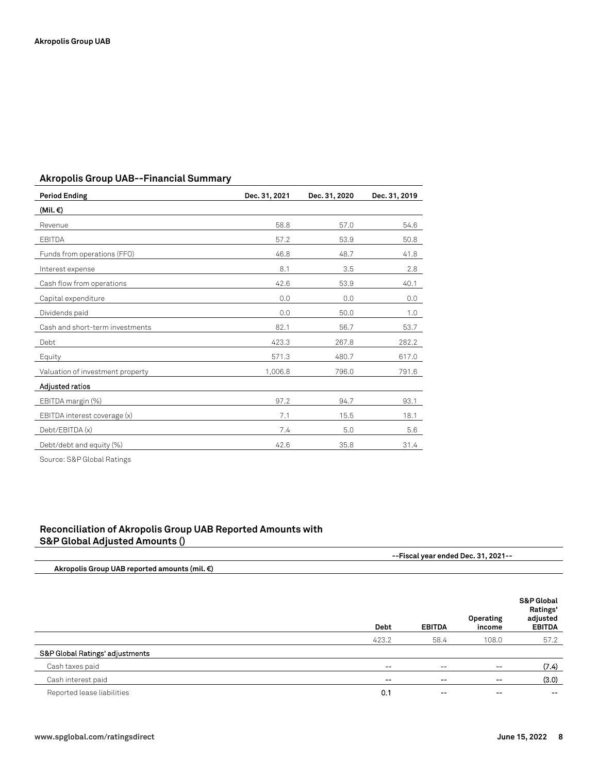| <b>Period Ending</b>             | Dec. 31, 2021 | Dec. 31, 2020 | Dec. 31, 2019 |
|----------------------------------|---------------|---------------|---------------|
| (Mil. €)                         |               |               |               |
| Revenue                          | 58.8          | 57.0          | 54.6          |
| EBITDA                           | 57.2          | 53.9          | 50.8          |
| Funds from operations (FFO)      | 46.8          | 48.7          | 41.8          |
| Interest expense                 | 8.1           | 3.5           | 2.8           |
| Cash flow from operations        | 42.6          | 53.9          | 40.1          |
| Capital expenditure              | 0.0           | 0.0           | 0.0           |
| Dividends paid                   | 0.0           | 50.0          | 1.0           |
| Cash and short-term investments  | 82.1          | 56.7          | 53.7          |
| Debt                             | 423.3         | 267.8         | 282.2         |
| Equity                           | 571.3         | 480.7         | 617.0         |
| Valuation of investment property | 1,006.8       | 796.0         | 791.6         |
| Adjusted ratios                  |               |               |               |
| EBITDA margin (%)                | 97.2          | 94.7          | 93.1          |
| EBITDA interest coverage (x)     | 7.1           | 15.5          | 18.1          |
| Debt/EBITDA (x)                  | 7.4           | 5.0           | 5.6           |
| Debt/debt and equity (%)         | 42.6          | 35.8          | 31.4          |

#### **Akropolis Group UAB--Financial Summary**

Source: S&P Global Ratings

#### **Reconciliation of Akropolis Group UAB Reported Amounts with S&P Global Adjusted Amounts ()**

|                                               | --Fiscal year ended Dec. 31, 2021-- |               |                          |                                                                |
|-----------------------------------------------|-------------------------------------|---------------|--------------------------|----------------------------------------------------------------|
| Akropolis Group UAB reported amounts (mil. €) |                                     |               |                          |                                                                |
|                                               | <b>Debt</b>                         | <b>EBITDA</b> | Operating<br>income      | <b>S&amp;P Global</b><br>Ratings'<br>adjusted<br><b>EBITDA</b> |
|                                               | 423.2                               | 58.4          | 108.0                    | 57.2                                                           |
| S&P Global Ratings' adjustments               |                                     |               |                          |                                                                |
| Cash taxes paid                               | $\qquad \qquad \cdots$              | $- -$         | $\overline{\phantom{m}}$ | (7.4)                                                          |
| Cash interest paid                            | $\qquad \qquad \cdots$              | $- -$         | $- -$                    | (3.0)                                                          |
| Reported lease liabilities                    | 0.1                                 |               | --                       | --                                                             |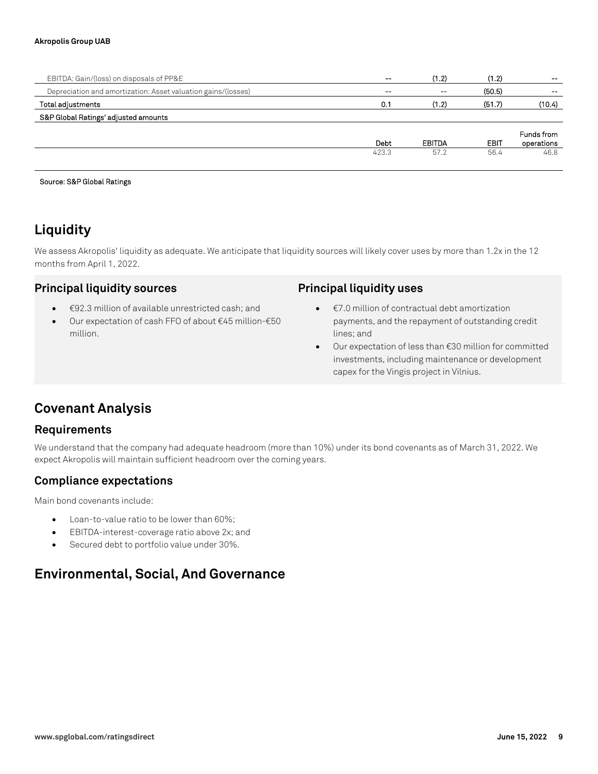| EBITDA: Gain/(loss) on disposals of PP&E                      | $\sim$ $\sim$ | (1.2)                    | (1.2)       | $\sim$ $\sim$ |
|---------------------------------------------------------------|---------------|--------------------------|-------------|---------------|
| Depreciation and amortization: Asset valuation gains/(losses) | $- -$         | $\hspace{0.05cm} \ldots$ | (50.5)      | $- -$         |
| Total adjustments                                             | 0.1           | (1.2)                    | (51.7)      | (10.4)        |
| S&P Global Ratings' adjusted amounts                          |               |                          |             |               |
|                                                               |               |                          |             | Funds from    |
|                                                               | Debt          | <b>EBITDA</b>            | <b>EBIT</b> | operations    |
|                                                               | 423.3         | 57.2                     | 56.4        | 46.8          |
|                                                               |               |                          |             |               |

**Source: S&P Global Ratings**

# **Liquidity**

We assess Akropolis' liquidity as adequate. We anticipate that liquidity sources will likely cover uses by more than 1.2x in the 12 months from April 1, 2022.

### **Principal liquidity sources**

- €92.3 million of available unrestricted cash; and
- Our expectation of cash FFO of about €45 million-€50 million.

### **Principal liquidity uses**

- €7.0 million of contractual debt amortization payments, and the repayment of outstanding credit lines; and
- Our expectation of less than €30 million for committed investments, including maintenance or development capex for the Vingis project in Vilnius.

# **Covenant Analysis**

### **Requirements**

We understand that the company had adequate headroom (more than 10%) under its bond covenants as of March 31, 2022. We expect Akropolis will maintain sufficient headroom over the coming years.

### **Compliance expectations**

Main bond covenants include:

- Loan-to-value ratio to be lower than 60%:
- EBITDA-interest-coverage ratio above 2x; and
- Secured debt to portfolio value under 30%.

# **Environmental, Social, And Governance**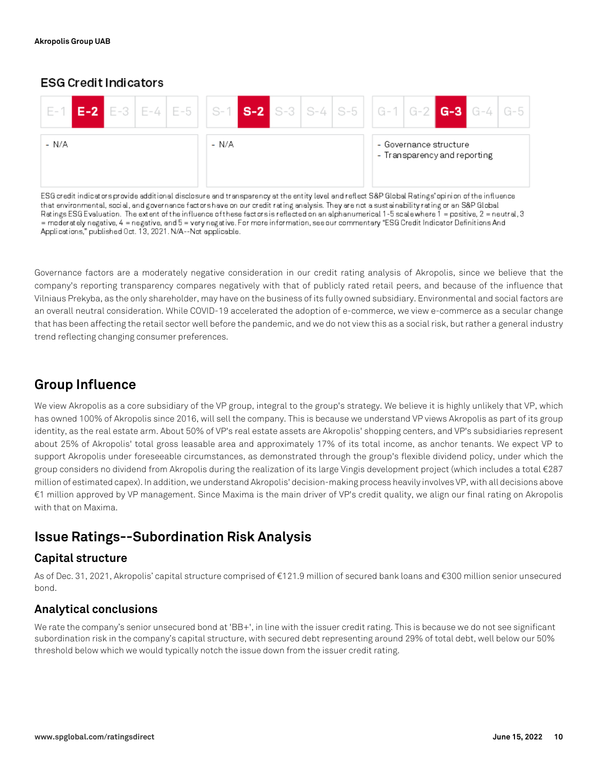### **ESG Credit Indicators**



ESG credit indicators provide additional disclosure and transparency at the entity level and reflect S&P Global Ratings' opinion of the influence that environmental, social, and governance factors have on our credit rating analysis. They are not a sustainability rating or an S&P Global Ratings ESG Evaluation. The extent of the influence of these factors is reflected on an alphanumerical 1-5 scale where 1 = positive, 2 = neutral, 3 = moderately negative, 4 = negative, and 5 = very negative. For more information, see our commentary "ESG Credit Indicator Definitions And Applications," published Oct. 13, 2021. N/A--Not applicable.

Governance factors are a moderately negative consideration in our credit rating analysis of Akropolis, since we believe that the company's reporting transparency compares negatively with that of publicly rated retail peers, and because of the influence that Vilniaus Prekyba, as the only shareholder, may have on the business of its fully owned subsidiary. Environmental and social factors are an overall neutral consideration. While COVID-19 accelerated the adoption of e-commerce, we view e-commerce as a secular change that has been affecting the retail sector well before the pandemic, and we do not view this as a social risk, but rather a general industry trend reflecting changing consumer preferences.

# **Group Influence**

We view Akropolis as a core subsidiary of the VP group, integral to the group's strategy. We believe it is highly unlikely that VP, which has owned 100% of Akropolis since 2016, will sell the company. This is because we understand VP views Akropolis as part of its group identity, as the real estate arm. About 50% of VP's real estate assets are Akropolis' shopping centers, and VP's subsidiaries represent about 25% of Akropolis' total gross leasable area and approximately 17% of its total income, as anchor tenants. We expect VP to support Akropolis under foreseeable circumstances, as demonstrated through the group's flexible dividend policy, under which the group considers no dividend from Akropolis during the realization of its large Vingis development project (which includes a total €287 million of estimated capex). In addition, we understand Akropolis' decision-making process heavily involves VP, with all decisions above €1 million approved by VP management. Since Maxima is the main driver of VP's credit quality, we align our final rating on Akropolis with that on Maxima.

# **Issue Ratings--Subordination Risk Analysis**

### **Capital structure**

As of Dec. 31, 2021, Akropolis' capital structure comprised of €121.9 million of secured bank loans and €300 million senior unsecured bond.

### **Analytical conclusions**

We rate the company's senior unsecured bond at 'BB+', in line with the issuer credit rating. This is because we do not see significant subordination risk in the company's capital structure, with secured debt representing around 29% of total debt, well below our 50% threshold below which we would typically notch the issue down from the issuer credit rating.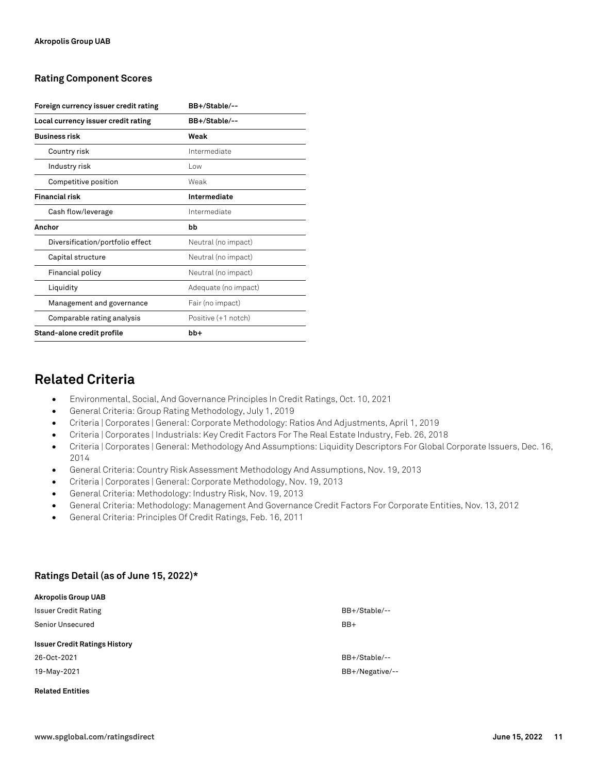#### **Rating Component Scores**

| Foreign currency issuer credit rating | BB+/Stable/--        |
|---------------------------------------|----------------------|
| Local currency issuer credit rating   | BB+/Stable/--        |
| <b>Business risk</b>                  | Weak                 |
| Country risk                          | Intermediate         |
| Industry risk                         | l ow                 |
| Competitive position                  | Weak                 |
| <b>Financial risk</b>                 | Intermediate         |
| Cash flow/leverage                    | Intermediate         |
| Anchor                                | hh                   |
| Diversification/portfolio effect      | Neutral (no impact)  |
| Capital structure                     | Neutral (no impact)  |
| Financial policy                      | Neutral (no impact)  |
| Liquidity                             | Adequate (no impact) |
| Management and governance             | Fair (no impact)     |
| Comparable rating analysis            | Positive (+1 notch)  |
| Stand-alone credit profile            | bb+                  |

## **Related Criteria**

- Environmental, Social, And Governance Principles In Credit Ratings, Oct. 10, 2021
- General Criteria: Group Rating Methodology, July 1, 2019
- Criteria | Corporates | General: Corporate Methodology: Ratios And Adjustments, April 1, 2019
- Criteria | Corporates | Industrials: Key Credit Factors For The Real Estate Industry, Feb. 26, 2018
- Criteria | Corporates | General: Methodology And Assumptions: Liquidity Descriptors For Global Corporate Issuers, Dec. 16, 2014
- General Criteria: Country Risk Assessment Methodology And Assumptions, Nov. 19, 2013
- Criteria | Corporates | General: Corporate Methodology, Nov. 19, 2013
- General Criteria: Methodology: Industry Risk, Nov. 19, 2013
- General Criteria: Methodology: Management And Governance Credit Factors For Corporate Entities, Nov. 13, 2012
- General Criteria: Principles Of Credit Ratings, Feb. 16, 2011

#### **Ratings Detail (as of June 15, 2022)\***

| <b>Akropolis Group UAB</b>           |                 |
|--------------------------------------|-----------------|
| <b>Issuer Credit Rating</b>          | BB+/Stable/--   |
| Senior Unsecured                     | BB+             |
| <b>Issuer Credit Ratings History</b> |                 |
| 26-Oct-2021                          | BB+/Stable/--   |
| 19-May-2021                          | BB+/Negative/-- |
| <b>Related Entities</b>              |                 |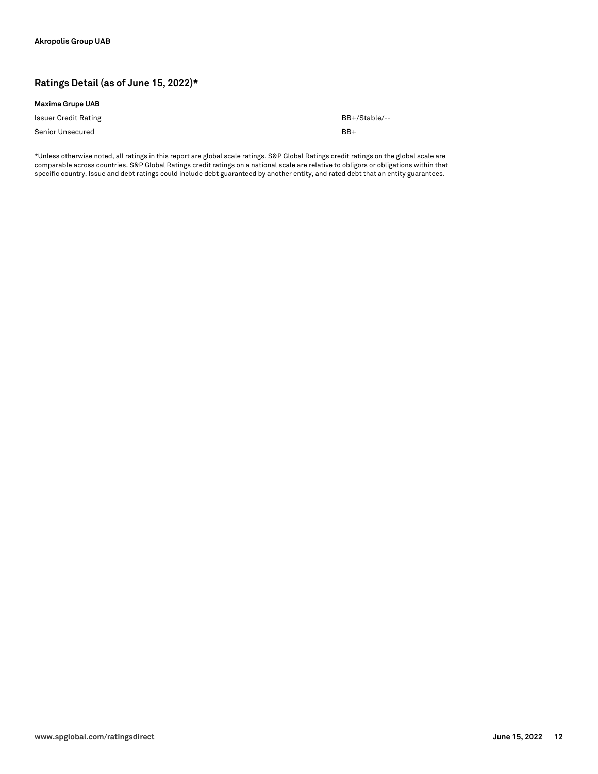#### **Ratings Detail (as of June 15, 2022)\***

| Maxima Grupe UAB            |               |
|-----------------------------|---------------|
| <b>Issuer Credit Rating</b> | BB+/Stable/-- |
| Senior Unsecured            | BB+           |

\*Unless otherwise noted, all ratings in this report are global scale ratings. S&P Global Ratings credit ratings on the global scale are comparable across countries. S&P Global Ratings credit ratings on a national scale are relative to obligors or obligations within that specific country. Issue and debt ratings could include debt guaranteed by another entity, and rated debt that an entity guarantees.